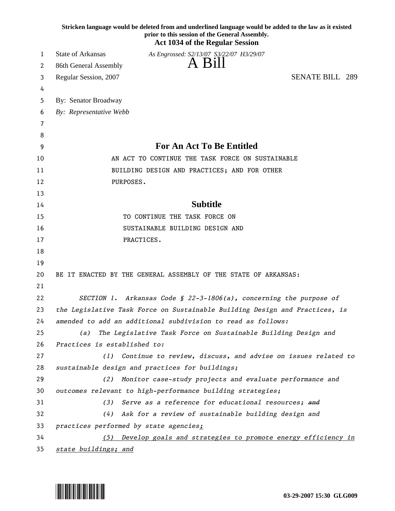|          | Stricken language would be deleted from and underlined language would be added to the law as it existed<br>prior to this session of the General Assembly.<br><b>Act 1034 of the Regular Session</b> |
|----------|-----------------------------------------------------------------------------------------------------------------------------------------------------------------------------------------------------|
| 1        | <b>State of Arkansas</b><br>As Engrossed: S2/13/07 S3/22/07 H3/29/07                                                                                                                                |
| 2        | A Bill<br>86th General Assembly                                                                                                                                                                     |
| 3        | <b>SENATE BILL 289</b><br>Regular Session, 2007                                                                                                                                                     |
| 4        |                                                                                                                                                                                                     |
| 5        | By: Senator Broadway                                                                                                                                                                                |
| 6        | By: Representative Webb                                                                                                                                                                             |
| 7        |                                                                                                                                                                                                     |
| 8        |                                                                                                                                                                                                     |
| 9        | <b>For An Act To Be Entitled</b>                                                                                                                                                                    |
| 10       | AN ACT TO CONTINUE THE TASK FORCE ON SUSTAINABLE                                                                                                                                                    |
| 11       | BUILDING DESIGN AND PRACTICES; AND FOR OTHER                                                                                                                                                        |
| 12       | PURPOSES.                                                                                                                                                                                           |
| 13       |                                                                                                                                                                                                     |
| 14       | <b>Subtitle</b>                                                                                                                                                                                     |
| 15       | TO CONTINUE THE TASK FORCE ON                                                                                                                                                                       |
| 16       | SUSTAINABLE BUILDING DESIGN AND                                                                                                                                                                     |
| 17       | PRACTICES.                                                                                                                                                                                          |
| 18       |                                                                                                                                                                                                     |
| 19       |                                                                                                                                                                                                     |
| 20       | BE IT ENACTED BY THE GENERAL ASSEMBLY OF THE STATE OF ARKANSAS:                                                                                                                                     |
| 21       |                                                                                                                                                                                                     |
| 22       | SECTION 1. Arkansas Code § 22-3-1806(a), concerning the purpose of                                                                                                                                  |
| 23       | the Legislative Task Force on Sustainable Building Design and Practices, is                                                                                                                         |
| 24       | amended to add an additional subdivision to read as follows:                                                                                                                                        |
| 25<br>26 | The Legislative Task Force on Sustainable Building Design and<br>(a)<br>Practices is established to:                                                                                                |
| 27       | Continue to review, discuss, and advise on issues related to<br>(1)                                                                                                                                 |
| 28       | sustainable design and practices for buildings;                                                                                                                                                     |
| 29       | Monitor case-study projects and evaluate performance and<br>(2)                                                                                                                                     |
| 30       | outcomes relevant to high-performance building strategies;                                                                                                                                          |
| 31       | Serve as a reference for educational resources; and<br>(3)                                                                                                                                          |
| 32       | Ask for a review of sustainable building design and<br>(4)                                                                                                                                          |
| 33       | practices performed by state agencies;                                                                                                                                                              |
| 34       | Develop goals and strategies to promote energy efficiency in<br>(5)                                                                                                                                 |
| 35       | state buildings; and                                                                                                                                                                                |